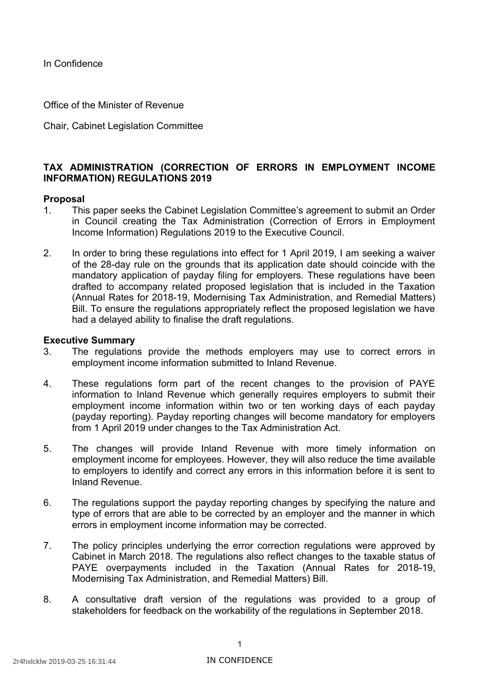In Confidence

Office of the Minister of Revenue

Chair, Cabinet Legislation Committee

# **TAX ADMINISTRATION (CORRECTION OF ERRORS IN EMPLOYMENT INCOME INFORMATION) REGULATIONS 2019**

### **Proposal**

- 1. This paper seeks the Cabinet Legislation Committee's agreement to submit an Order in Council creating the Tax Administration (Correction of Errors in Employment Income Information) Regulations 2019 to the Executive Council.
- 2. In order to bring these regulations into effect for 1 April 2019, I am seeking a waiver of the 28-day rule on the grounds that its application date should coincide with the mandatory application of payday filing for employers. These regulations have been drafted to accompany related proposed legislation that is included in the Taxation (Annual Rates for 2018-19, Modernising Tax Administration, and Remedial Matters) Bill. To ensure the regulations appropriately reflect the proposed legislation we have had a delayed ability to finalise the draft regulations.

#### **Executive Summary**

- 3. The regulations provide the methods employers may use to correct errors in employment income information submitted to Inland Revenue.
- 4. These regulations form part of the recent changes to the provision of PAYE information to Inland Revenue which generally requires employers to submit their employment income information within two or ten working days of each payday (payday reporting). Payday reporting changes will become mandatory for employers from 1 April 2019 under changes to the Tax Administration Act.
- 5. The changes will provide Inland Revenue with more timely information on employment income for employees. However, they will also reduce the time available to employers to identify and correct any errors in this information before it is sent to Inland Revenue.
- 6. The regulations support the payday reporting changes by specifying the nature and type of errors that are able to be corrected by an employer and the manner in which errors in employment income information may be corrected.
- 7. The policy principles underlying the error correction regulations were approved by Cabinet in March 2018. The regulations also reflect changes to the taxable status of PAYE overpayments included in the Taxation (Annual Rates for 2018-19, Modernising Tax Administration, and Remedial Matters) Bill.
- 8. A consultative draft version of the regulations was provided to a group of stakeholders for feedback on the workability of the regulations in September 2018.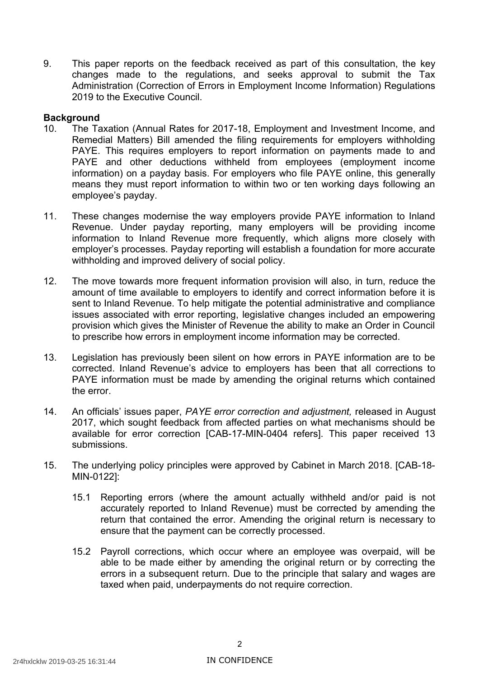9. This paper reports on the feedback received as part of this consultation, the key changes made to the regulations, and seeks approval to submit the Tax Administration (Correction of Errors in Employment Income Information) Regulations 2019 to the Executive Council.

# **Background**

- 10. The Taxation (Annual Rates for 2017-18, Employment and Investment Income, and Remedial Matters) Bill amended the filing requirements for employers withholding PAYE. This requires employers to report information on payments made to and PAYE and other deductions withheld from employees (employment income information) on a payday basis. For employers who file PAYE online, this generally means they must report information to within two or ten working days following an employee's payday.
- 11. These changes modernise the way employers provide PAYE information to Inland Revenue. Under payday reporting, many employers will be providing income information to Inland Revenue more frequently, which aligns more closely with employer's processes. Payday reporting will establish a foundation for more accurate withholding and improved delivery of social policy.
- 12. The move towards more frequent information provision will also, in turn, reduce the amount of time available to employers to identify and correct information before it is sent to Inland Revenue. To help mitigate the potential administrative and compliance issues associated with error reporting, legislative changes included an empowering provision which gives the Minister of Revenue the ability to make an Order in Council to prescribe how errors in employment income information may be corrected.
- 13. Legislation has previously been silent on how errors in PAYE information are to be corrected. Inland Revenue's advice to employers has been that all corrections to PAYE information must be made by amending the original returns which contained the error.
- 14. An officials' issues paper, *PAYE error correction and adjustment,* released in August 2017, which sought feedback from affected parties on what mechanisms should be available for error correction [CAB-17-MIN-0404 refers]. This paper received 13 submissions.
- 15. The underlying policy principles were approved by Cabinet in March 2018. [CAB-18- MIN-0122]:
	- 15.1 Reporting errors (where the amount actually withheld and/or paid is not accurately reported to Inland Revenue) must be corrected by amending the return that contained the error. Amending the original return is necessary to ensure that the payment can be correctly processed.
	- 15.2 Payroll corrections, which occur where an employee was overpaid, will be able to be made either by amending the original return or by correcting the errors in a subsequent return. Due to the principle that salary and wages are taxed when paid, underpayments do not require correction.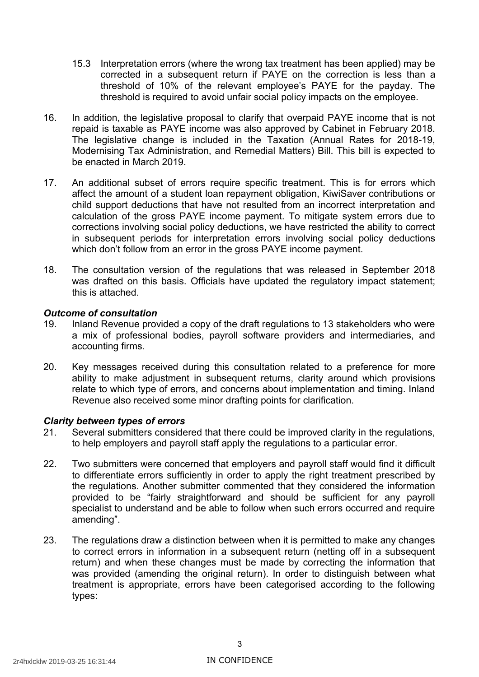- 15.3 Interpretation errors (where the wrong tax treatment has been applied) may be corrected in a subsequent return if PAYE on the correction is less than a threshold of 10% of the relevant employee's PAYE for the payday. The threshold is required to avoid unfair social policy impacts on the employee.
- 16. In addition, the legislative proposal to clarify that overpaid PAYE income that is not repaid is taxable as PAYE income was also approved by Cabinet in February 2018. The legislative change is included in the Taxation (Annual Rates for 2018-19, Modernising Tax Administration, and Remedial Matters) Bill. This bill is expected to be enacted in March 2019.
- 17. An additional subset of errors require specific treatment. This is for errors which affect the amount of a student loan repayment obligation, KiwiSaver contributions or child support deductions that have not resulted from an incorrect interpretation and calculation of the gross PAYE income payment. To mitigate system errors due to corrections involving social policy deductions, we have restricted the ability to correct in subsequent periods for interpretation errors involving social policy deductions which don't follow from an error in the gross PAYE income payment.
- 18. The consultation version of the regulations that was released in September 2018 was drafted on this basis. Officials have updated the regulatory impact statement; this is attached.

### *Outcome of consultation*

- 19. Inland Revenue provided a copy of the draft regulations to 13 stakeholders who were a mix of professional bodies, payroll software providers and intermediaries, and accounting firms.
- 20. Key messages received during this consultation related to a preference for more ability to make adjustment in subsequent returns, clarity around which provisions relate to which type of errors, and concerns about implementation and timing. Inland Revenue also received some minor drafting points for clarification.

### *Clarity between types of errors*

- 21. Several submitters considered that there could be improved clarity in the regulations, to help employers and payroll staff apply the regulations to a particular error.
- 22. Two submitters were concerned that employers and payroll staff would find it difficult to differentiate errors sufficiently in order to apply the right treatment prescribed by the regulations. Another submitter commented that they considered the information provided to be "fairly straightforward and should be sufficient for any payroll specialist to understand and be able to follow when such errors occurred and require amending".
- 23. The regulations draw a distinction between when it is permitted to make any changes to correct errors in information in a subsequent return (netting off in a subsequent return) and when these changes must be made by correcting the information that was provided (amending the original return). In order to distinguish between what treatment is appropriate, errors have been categorised according to the following types: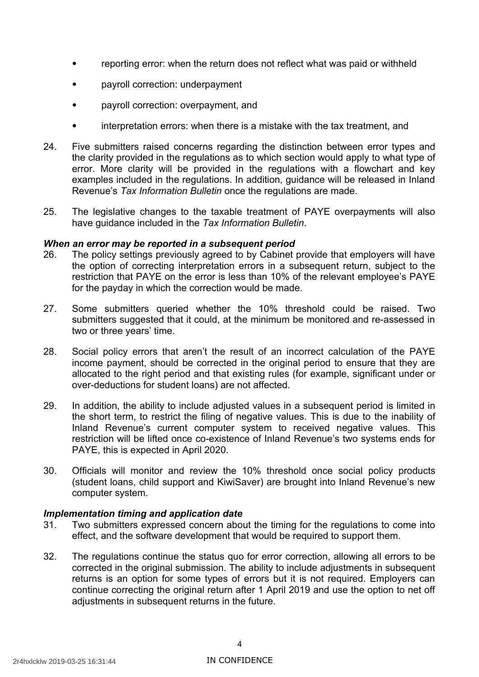- reporting error: when the return does not reflect what was paid or withheld
- payroll correction: underpayment
- payroll correction: overpayment, and
- interpretation errors: when there is a mistake with the tax treatment, and
- 24. Five submitters raised concerns regarding the distinction between error types and the clarity provided in the regulations as to which section would apply to what type of error. More clarity will be provided in the regulations with a flowchart and key examples included in the regulations. In addition, guidance will be released in Inland Revenue's *Tax Information Bulletin* once the regulations are made.
- 25. The legislative changes to the taxable treatment of PAYE overpayments will also have guidance included in the *Tax Information Bulletin*.

### *When an error may be reported in a subsequent period*

- 26. The policy settings previously agreed to by Cabinet provide that employers will have the option of correcting interpretation errors in a subsequent return, subject to the restriction that PAYE on the error is less than 10% of the relevant employee's PAYE for the payday in which the correction would be made.
- 27. Some submitters queried whether the 10% threshold could be raised. Two submitters suggested that it could, at the minimum be monitored and re-assessed in two or three years' time.
- 28. Social policy errors that aren't the result of an incorrect calculation of the PAYE income payment, should be corrected in the original period to ensure that they are allocated to the right period and that existing rules (for example, significant under or over-deductions for student loans) are not affected.
- 29. In addition, the ability to include adjusted values in a subsequent period is limited in the short term, to restrict the filing of negative values. This is due to the inability of Inland Revenue's current computer system to received negative values. This restriction will be lifted once co-existence of Inland Revenue's two systems ends for PAYE, this is expected in April 2020.
- 30. Officials will monitor and review the 10% threshold once social policy products (student loans, child support and KiwiSaver) are brought into Inland Revenue's new computer system.

# *Implementation timing and application date*

- 31. Two submitters expressed concern about the timing for the regulations to come into effect, and the software development that would be required to support them.
- 32. The regulations continue the status quo for error correction, allowing all errors to be corrected in the original submission. The ability to include adjustments in subsequent returns is an option for some types of errors but it is not required. Employers can continue correcting the original return after 1 April 2019 and use the option to net off adjustments in subsequent returns in the future.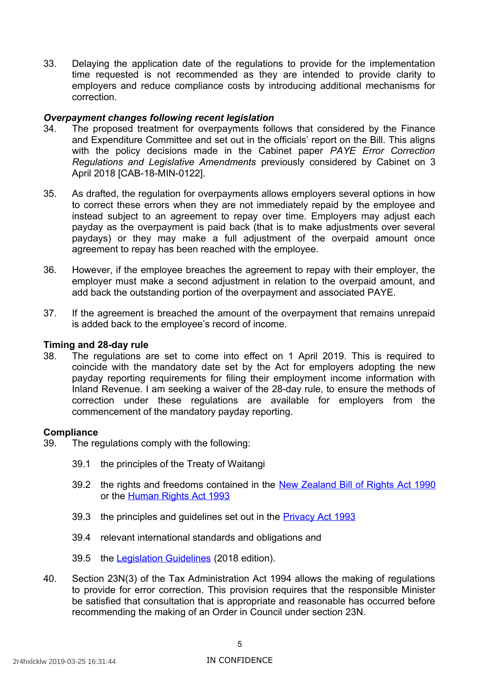33. Delaying the application date of the regulations to provide for the implementation time requested is not recommended as they are intended to provide clarity to employers and reduce compliance costs by introducing additional mechanisms for correction.

### *Overpayment changes following recent legislation*

- 34. The proposed treatment for overpayments follows that considered by the Finance and Expenditure Committee and set out in the officials' report on the Bill. This aligns with the policy decisions made in the Cabinet paper *PAYE Error Correction Regulations and Legislative Amendments* previously considered by Cabinet on 3 April 2018 [CAB-18-MIN-0122].
- 35. As drafted, the regulation for overpayments allows employers several options in how to correct these errors when they are not immediately repaid by the employee and instead subject to an agreement to repay over time. Employers may adjust each payday as the overpayment is paid back (that is to make adjustments over several paydays) or they may make a full adjustment of the overpaid amount once agreement to repay has been reached with the employee.
- 36. However, if the employee breaches the agreement to repay with their employer, the employer must make a second adjustment in relation to the overpaid amount, and add back the outstanding portion of the overpayment and associated PAYE.
- 37. If the agreement is breached the amount of the overpayment that remains unrepaid is added back to the employee's record of income.

#### **Timing and 28-day rule**

 38. The regulations are set to come into effect on 1 April 2019. This is required to coincide with the mandatory date set by the Act for employers adopting the new payday reporting requirements for filing their employment income information with Inland Revenue. I am seeking a waiver of the 28-day rule, to ensure the methods of correction under these regulations are available for employers from the commencement of the mandatory payday reporting.

#### **Compliance**

- 39. The regulations comply with the following:
	- 39.1 the principles of the Treaty of Waitangi
	- 39.2 the rights and freedoms contained in the New Zealand Bill of Rights Act 1990 or the Human Rights Act 1993
	- 39.3 the principles and guidelines set out in the **Privacy Act 1993**
	- 39.4 relevant international standards and obligations and
	- 39.5 the [Legislation Guidelines](http://www.ldac.org.nz/guidelines/legislation-guidelines-2018-edition/) (2018 edition).
- 40. Section 23N(3) of the Tax Administration Act 1994 allows the making of regulations to provide for error correction. This provision requires that the responsible Minister be satisfied that consultation that is appropriate and reasonable has occurred before recommending the making of an Order in Council under section 23N.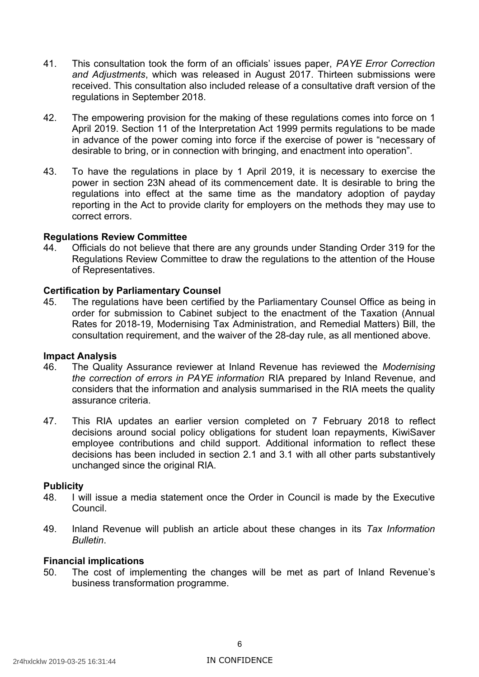- 41. This consultation took the form of an officials' issues paper, *PAYE Error Correction and Adjustments*, which was released in August 2017. Thirteen submissions were received. This consultation also included release of a consultative draft version of the regulations in September 2018.
- 42. The empowering provision for the making of these regulations comes into force on 1 April 2019. Section 11 of the Interpretation Act 1999 permits regulations to be made in advance of the power coming into force if the exercise of power is "necessary of desirable to bring, or in connection with bringing, and enactment into operation".
- 43. To have the regulations in place by 1 April 2019, it is necessary to exercise the power in section 23N ahead of its commencement date. It is desirable to bring the regulations into effect at the same time as the mandatory adoption of payday reporting in the Act to provide clarity for employers on the methods they may use to correct errors.

### **Regulations Review Committee**

 44. Officials do not believe that there are any grounds under Standing Order 319 for the Regulations Review Committee to draw the regulations to the attention of the House of Representatives.

### **Certification by Parliamentary Counsel**

 45. The regulations have been certified by the Parliamentary Counsel Office as being in order for submission to Cabinet subject to the enactment of the Taxation (Annual Rates for 2018-19, Modernising Tax Administration, and Remedial Matters) Bill, the consultation requirement, and the waiver of the 28-day rule, as all mentioned above.

#### **Impact Analysis**

- 46. The Quality Assurance reviewer at Inland Revenue has reviewed the *Modernising the correction of errors in PAYE information* RIA prepared by Inland Revenue, and considers that the information and analysis summarised in the RIA meets the quality assurance criteria.
- 47. This RIA updates an earlier version completed on 7 February 2018 to reflect decisions around social policy obligations for student loan repayments, KiwiSaver employee contributions and child support. Additional information to reflect these decisions has been included in section 2.1 and 3.1 with all other parts substantively unchanged since the original RIA.

#### **Publicity**

- 48. I will issue a media statement once the Order in Council is made by the Executive Council.
- 49. Inland Revenue will publish an article about these changes in its *Tax Information Bulletin*.

# **Financial implications**

 50. The cost of implementing the changes will be met as part of Inland Revenue's business transformation programme.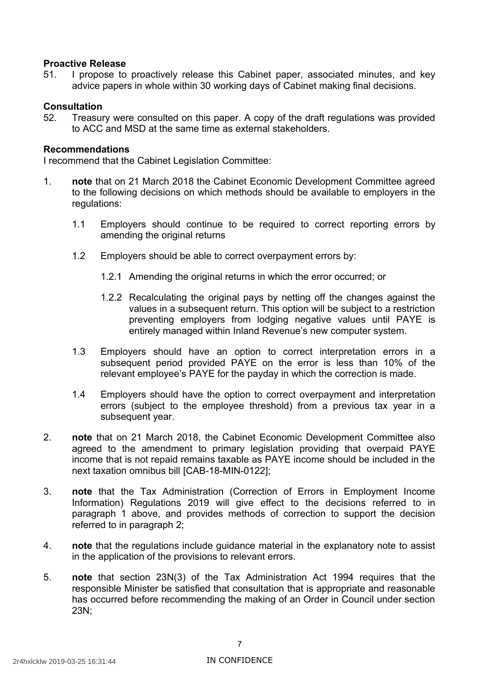# **Proactive Release**

 51. I propose to proactively release this Cabinet paper, associated minutes, and key advice papers in whole within 30 working days of Cabinet making final decisions.

# **Consultation**

 52. Treasury were consulted on this paper. A copy of the draft regulations was provided to ACC and MSD at the same time as external stakeholders.

#### **Recommendations**

I recommend that the Cabinet Legislation Committee:

- 1. **note** that on 21 March 2018 the Cabinet Economic Development Committee agreed to the following decisions on which methods should be available to employers in the regulations:
	- 1.1 Employers should continue to be required to correct reporting errors by amending the original returns
	- 1.2 Employers should be able to correct overpayment errors by:
		- 1.2.1 Amending the original returns in which the error occurred; or
		- 1.2.2 Recalculating the original pays by netting off the changes against the values in a subsequent return. This option will be subject to a restriction preventing employers from lodging negative values until PAYE is entirely managed within Inland Revenue's new computer system.
	- 1.3 Employers should have an option to correct interpretation errors in a subsequent period provided PAYE on the error is less than 10% of the relevant employee's PAYE for the payday in which the correction is made.
	- 1.4 Employers should have the option to correct overpayment and interpretation errors (subject to the employee threshold) from a previous tax year in a subsequent year.
- 2. **note** that on 21 March 2018, the Cabinet Economic Development Committee also agreed to the amendment to primary legislation providing that overpaid PAYE income that is not repaid remains taxable as PAYE income should be included in the next taxation omnibus bill [CAB-18-MIN-0122];
- 3. **note** that the Tax Administration (Correction of Errors in Employment Income Information) Regulations 2019 will give effect to the decisions referred to in paragraph 1 above, and provides methods of correction to support the decision referred to in paragraph 2;
- 4. **note** that the regulations include guidance material in the explanatory note to assist in the application of the provisions to relevant errors.
- 5. **note** that section 23N(3) of the Tax Administration Act 1994 requires that the responsible Minister be satisfied that consultation that is appropriate and reasonable has occurred before recommending the making of an Order in Council under section 23N;